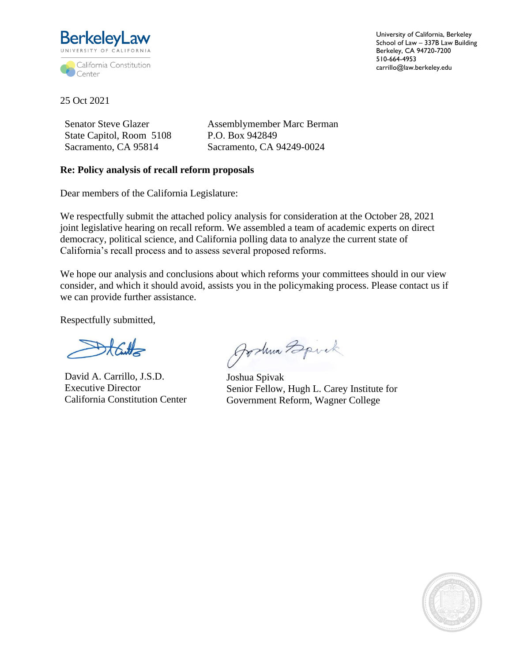

University of California, Berkeley School of Law – 337B Law Building Berkeley, CA 94720-7200 510-664-4953 carrillo@law.berkeley.edu

25 Oct 2021

Senator Steve Glazer State Capitol, Room 5108 Sacramento, CA 95814

Assemblymember Marc Berman P.O. Box 942849 Sacramento, CA 94249-0024

## **Re: Policy analysis of recall reform proposals**

Dear members of the California Legislature:

We respectfully submit the attached policy analysis for consideration at the October 28, 2021 joint legislative hearing on recall reform. We assembled a team of academic experts on direct democracy, political science, and California polling data to analyze the current state of California's recall process and to assess several proposed reforms.

We hope our analysis and conclusions about which reforms your committees should in our view consider, and which it should avoid, assists you in the policymaking process. Please contact us if we can provide further assistance.

Respectfully submitted,

David A. Carrillo, J.S.D. Executive Director California Constitution Center

Joshua Bpick

Joshua Spivak Senior Fellow, Hugh L. Carey Institute for Government Reform, Wagner College

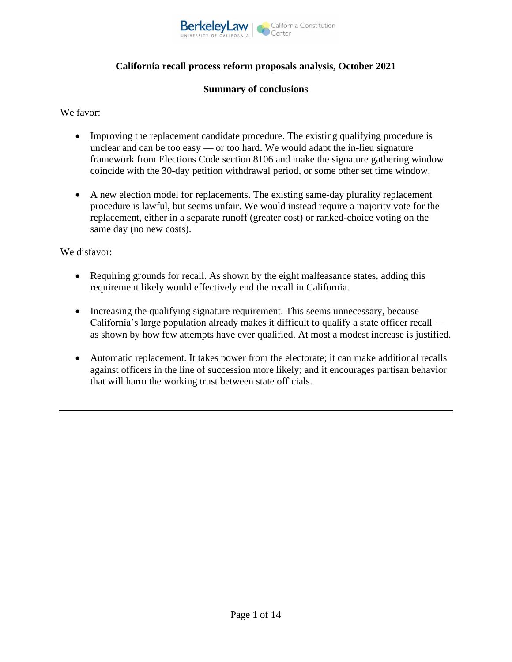

# **California recall process reform proposals analysis, October 2021**

#### **Summary of conclusions**

We favor:

- Improving the replacement candidate procedure. The existing qualifying procedure is unclear and can be too easy — or too hard. We would adapt the in-lieu signature framework from Elections Code section 8106 and make the signature gathering window coincide with the 30-day petition withdrawal period, or some other set time window.
- A new election model for replacements. The existing same-day plurality replacement procedure is lawful, but seems unfair. We would instead require a majority vote for the replacement, either in a separate runoff (greater cost) or ranked-choice voting on the same day (no new costs).

We disfavor:

- Requiring grounds for recall. As shown by the eight malfeasance states, adding this requirement likely would effectively end the recall in California.
- Increasing the qualifying signature requirement. This seems unnecessary, because California's large population already makes it difficult to qualify a state officer recall as shown by how few attempts have ever qualified. At most a modest increase is justified.
- Automatic replacement. It takes power from the electorate; it can make additional recalls against officers in the line of succession more likely; and it encourages partisan behavior that will harm the working trust between state officials.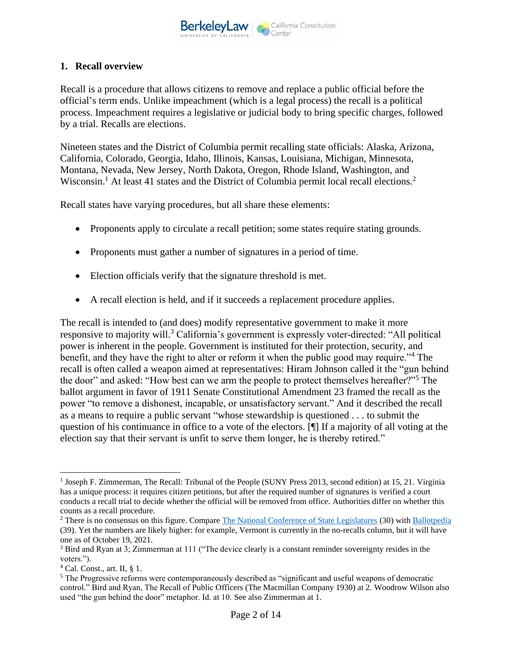

#### **1. Recall overview**

Recall is a procedure that allows citizens to remove and replace a public official before the official's term ends. Unlike impeachment (which is a legal process) the recall is a political process. Impeachment requires a legislative or judicial body to bring specific charges, followed by a trial. Recalls are elections.

Nineteen states and the District of Columbia permit recalling state officials: Alaska, Arizona, California, Colorado, Georgia, Idaho, Illinois, Kansas, Louisiana, Michigan, Minnesota, Montana, Nevada, New Jersey, North Dakota, Oregon, Rhode Island, Washington, and Wisconsin.<sup>1</sup> At least 41 states and the District of Columbia permit local recall elections.<sup>2</sup>

Recall states have varying procedures, but all share these elements:

- Proponents apply to circulate a recall petition; some states require stating grounds.
- Proponents must gather a number of signatures in a period of time.
- Election officials verify that the signature threshold is met.
- A recall election is held, and if it succeeds a replacement procedure applies.

The recall is intended to (and does) modify representative government to make it more responsive to majority will.<sup>3</sup> California's government is expressly voter-directed: "All political power is inherent in the people. Government is instituted for their protection, security, and benefit, and they have the right to alter or reform it when the public good may require."<sup>4</sup> The recall is often called a weapon aimed at representatives: Hiram Johnson called it the "gun behind the door" and asked: "How best can we arm the people to protect themselves hereafter?"<sup>5</sup> The ballot argument in favor of 1911 Senate Constitutional Amendment 23 framed the recall as the power "to remove a dishonest, incapable, or unsatisfactory servant." And it described the recall as a means to require a public servant "whose stewardship is questioned . . . to submit the question of his continuance in office to a vote of the electors. [¶] If a majority of all voting at the election say that their servant is unfit to serve them longer, he is thereby retired."

<sup>&</sup>lt;sup>1</sup> Joseph F. Zimmerman, The Recall: Tribunal of the People (SUNY Press 2013, second edition) at 15, 21. Virginia has a unique process: it requires citizen petitions, but after the required number of signatures is verified a court conducts a recall trial to decide whether the official will be removed from office. Authorities differ on whether this counts as a recall procedure.

<sup>&</sup>lt;sup>2</sup> There is no consensus on this figure. Compare [The National Conference of State Legislatures](https://www.ncsl.org/research/elections-and-campaigns/recall-of-local-officials.aspx) (30) wit[h Ballotpedia](file:///C:/Users/Joshua/Downloads/Ballotpedia%20has%20the%20number%20at%2039:%20https:/ballotpedia.org/Laws_governing_recall) (39). Yet the numbers are likely higher: for example, Vermont is currently in the no-recalls column, but it will have one as of October 19, 2021.

<sup>3</sup> Bird and Ryan at 3; Zimmerman at 111 ("The device clearly is a constant reminder sovereignty resides in the voters.").

 $<sup>4</sup>$  Cal. Const., art. II, § 1.</sup>

<sup>&</sup>lt;sup>5</sup> The Progressive reforms were contemporaneously described as "significant and useful weapons of democratic control." Bird and Ryan, The Recall of Public Officers (The Macmillan Company 1930) at 2. Woodrow Wilson also used "the gun behind the door" metaphor. Id. at 10. See also Zimmerman at 1.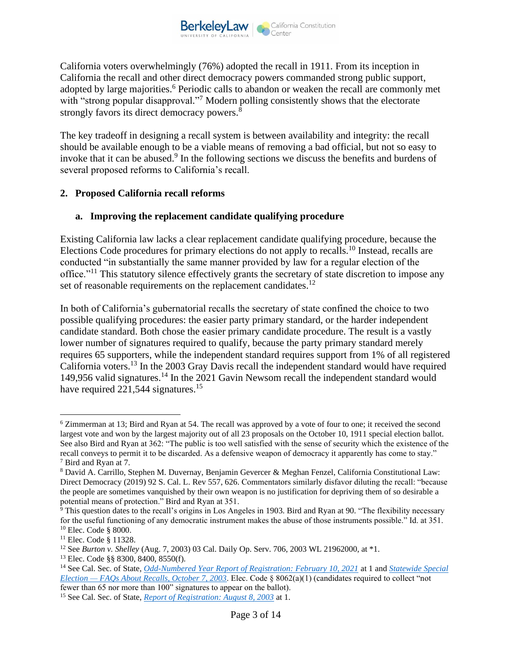

California voters overwhelmingly (76%) adopted the recall in 1911. From its inception in California the recall and other direct democracy powers commanded strong public support, adopted by large majorities.<sup>6</sup> Periodic calls to abandon or weaken the recall are commonly met with "strong popular disapproval."<sup>7</sup> Modern polling consistently shows that the electorate strongly favors its direct democracy powers.<sup>8</sup>

The key tradeoff in designing a recall system is between availability and integrity: the recall should be available enough to be a viable means of removing a bad official, but not so easy to invoke that it can be abused.<sup>9</sup> In the following sections we discuss the benefits and burdens of several proposed reforms to California's recall.

# **2. Proposed California recall reforms**

# **a. Improving the replacement candidate qualifying procedure**

Existing California law lacks a clear replacement candidate qualifying procedure, because the Elections Code procedures for primary elections do not apply to recalls.<sup>10</sup> Instead, recalls are conducted "in substantially the same manner provided by law for a regular election of the office."<sup>11</sup> This statutory silence effectively grants the secretary of state discretion to impose any set of reasonable requirements on the replacement candidates.<sup>12</sup>

In both of California's gubernatorial recalls the secretary of state confined the choice to two possible qualifying procedures: the easier party primary standard, or the harder independent candidate standard. Both chose the easier primary candidate procedure. The result is a vastly lower number of signatures required to qualify, because the party primary standard merely requires 65 supporters, while the independent standard requires support from 1% of all registered California voters.<sup>13</sup> In the 2003 Gray Davis recall the independent standard would have required 149,956 valid signatures.<sup>14</sup> In the 2021 Gavin Newsom recall the independent standard would have required 221,544 signatures.<sup>15</sup>

<sup>6</sup> Zimmerman at 13; Bird and Ryan at 54. The recall was approved by a vote of four to one; it received the second largest vote and won by the largest majority out of all 23 proposals on the October 10, 1911 special election ballot. See also Bird and Ryan at 362: "The public is too well satisfied with the sense of security which the existence of the recall conveys to permit it to be discarded. As a defensive weapon of democracy it apparently has come to stay." <sup>7</sup> Bird and Ryan at 7.

<sup>8</sup> David A. Carrillo, Stephen M. Duvernay, Benjamin Gevercer & Meghan Fenzel, California Constitutional Law: Direct Democracy (2019) 92 S. Cal. L. Rev 557, 626. Commentators similarly disfavor diluting the recall: "because the people are sometimes vanquished by their own weapon is no justification for depriving them of so desirable a potential means of protection." Bird and Ryan at 351.

 $\frac{1}{9}$  This question dates to the recall's origins in Los Angeles in 1903. Bird and Ryan at 90. "The flexibility necessary for the useful functioning of any democratic instrument makes the abuse of those instruments possible." Id. at 351. <sup>10</sup> Elec. Code § 8000.

<sup>&</sup>lt;sup>11</sup> Elec. Code § 11328.

<sup>12</sup> See *Burton v. Shelley* (Aug. 7, 2003) 03 Cal. Daily Op. Serv. 706, 2003 WL 21962000, at \*1.

<sup>13</sup> Elec. Code §§ 8300, 8400, 8550(f).

<sup>14</sup> See Cal. Sec. of State, *[Odd-Numbered Year Report of Registration: February 10, 2021](https://elections.cdn.sos.ca.gov/ror/ror-odd-year-2021/historical-reg-stats.pdf)* at 1 and *[Statewide Special](https://www.sos.ca.gov/elections/prior-elections/statewide-election-results/statewide-special-election-october-7-2003/frequently-asked-questions#14)  Election — [FAQs About Recalls, October 7, 2003](https://www.sos.ca.gov/elections/prior-elections/statewide-election-results/statewide-special-election-october-7-2003/frequently-asked-questions#14)*. Elec. Code § 8062(a)(1) (candidates required to collect "not fewer than 65 nor more than 100" signatures to appear on the ballot).

<sup>15</sup> See Cal. Sec. of State, *[Report of Registration: August 8, 2003](https://elections.cdn.sos.ca.gov/ror/ror-pages/60day-stwdsp-03/hist-reg-stats.pdf)* at 1.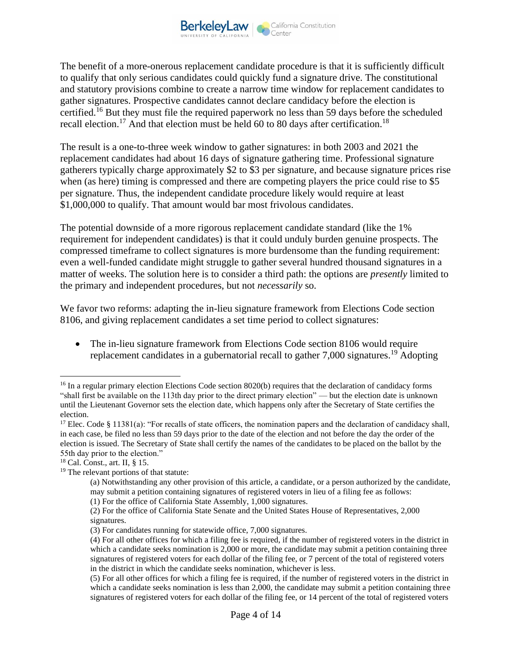The benefit of a more-onerous replacement candidate procedure is that it is sufficiently difficult to qualify that only serious candidates could quickly fund a signature drive. The constitutional and statutory provisions combine to create a narrow time window for replacement candidates to gather signatures. Prospective candidates cannot declare candidacy before the election is certified.<sup>16</sup> But they must file the required paperwork no less than 59 days before the scheduled recall election.<sup>17</sup> And that election must be held 60 to 80 days after certification.<sup>18</sup>

The result is a one-to-three week window to gather signatures: in both 2003 and 2021 the replacement candidates had about 16 days of signature gathering time. Professional signature gatherers typically charge approximately \$2 to \$3 per signature, and because signature prices rise when (as here) timing is compressed and there are competing players the price could rise to \$5 per signature. Thus, the independent candidate procedure likely would require at least \$1,000,000 to qualify. That amount would bar most frivolous candidates.

The potential downside of a more rigorous replacement candidate standard (like the 1% requirement for independent candidates) is that it could unduly burden genuine prospects. The compressed timeframe to collect signatures is more burdensome than the funding requirement: even a well-funded candidate might struggle to gather several hundred thousand signatures in a matter of weeks. The solution here is to consider a third path: the options are *presently* limited to the primary and independent procedures, but not *necessarily* so.

We favor two reforms: adapting the in-lieu signature framework from Elections Code section 8106, and giving replacement candidates a set time period to collect signatures:

• The in-lieu signature framework from Elections Code section 8106 would require replacement candidates in a gubernatorial recall to gather 7,000 signatures.<sup>19</sup> Adopting

<sup>&</sup>lt;sup>16</sup> In a regular primary election Elections Code section 8020(b) requires that the declaration of candidacy forms "shall first be available on the 113th day prior to the direct primary election" — but the election date is unknown until the Lieutenant Governor sets the election date, which happens only after the Secretary of State certifies the election.

<sup>&</sup>lt;sup>17</sup> Elec. Code § 11381(a): "For recalls of state officers, the nomination papers and the declaration of candidacy shall, in each case, be filed no less than 59 days prior to the date of the election and not before the day the order of the election is issued. The Secretary of State shall certify the names of the candidates to be placed on the ballot by the 55th day prior to the election."

<sup>18</sup> Cal. Const., art. II, § 15.

<sup>&</sup>lt;sup>19</sup> The relevant portions of that statute:

<sup>(</sup>a) Notwithstanding any other provision of this article, a candidate, or a person authorized by the candidate, may submit a petition containing signatures of registered voters in lieu of a filing fee as follows:

<sup>(1)</sup> For the office of California State Assembly, 1,000 signatures.

<sup>(2)</sup> For the office of California State Senate and the United States House of Representatives, 2,000 signatures.

<sup>(3)</sup> For candidates running for statewide office, 7,000 signatures.

<sup>(4)</sup> For all other offices for which a filing fee is required, if the number of registered voters in the district in which a candidate seeks nomination is 2,000 or more, the candidate may submit a petition containing three signatures of registered voters for each dollar of the filing fee, or 7 percent of the total of registered voters in the district in which the candidate seeks nomination, whichever is less.

<sup>(5)</sup> For all other offices for which a filing fee is required, if the number of registered voters in the district in which a candidate seeks nomination is less than 2,000, the candidate may submit a petition containing three signatures of registered voters for each dollar of the filing fee, or 14 percent of the total of registered voters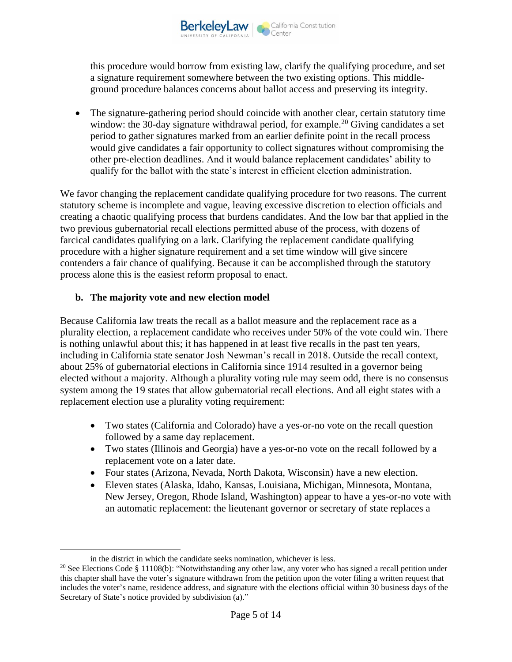

this procedure would borrow from existing law, clarify the qualifying procedure, and set a signature requirement somewhere between the two existing options. This middleground procedure balances concerns about ballot access and preserving its integrity.

• The signature-gathering period should coincide with another clear, certain statutory time window: the 30-day signature withdrawal period, for example.<sup>20</sup> Giving candidates a set period to gather signatures marked from an earlier definite point in the recall process would give candidates a fair opportunity to collect signatures without compromising the other pre-election deadlines. And it would balance replacement candidates' ability to qualify for the ballot with the state's interest in efficient election administration.

We favor changing the replacement candidate qualifying procedure for two reasons. The current statutory scheme is incomplete and vague, leaving excessive discretion to election officials and creating a chaotic qualifying process that burdens candidates. And the low bar that applied in the two previous gubernatorial recall elections permitted abuse of the process, with dozens of farcical candidates qualifying on a lark. Clarifying the replacement candidate qualifying procedure with a higher signature requirement and a set time window will give sincere contenders a fair chance of qualifying. Because it can be accomplished through the statutory process alone this is the easiest reform proposal to enact.

## **b. The majority vote and new election model**

Because California law treats the recall as a ballot measure and the replacement race as a plurality election, a replacement candidate who receives under 50% of the vote could win. There is nothing unlawful about this; it has happened in at least five recalls in the past ten years, including in California state senator Josh Newman's recall in 2018. Outside the recall context, about 25% of gubernatorial elections in California since 1914 resulted in a governor being elected without a majority. Although a plurality voting rule may seem odd, there is no consensus system among the 19 states that allow gubernatorial recall elections. And all eight states with a replacement election use a plurality voting requirement:

- Two states (California and Colorado) have a yes-or-no vote on the recall question followed by a same day replacement.
- Two states (Illinois and Georgia) have a yes-or-no vote on the recall followed by a replacement vote on a later date.
- Four states (Arizona, Nevada, North Dakota, Wisconsin) have a new election.
- Eleven states (Alaska, Idaho, Kansas, Louisiana, Michigan, Minnesota, Montana, New Jersey, Oregon, Rhode Island, Washington) appear to have a yes-or-no vote with an automatic replacement: the lieutenant governor or secretary of state replaces a

in the district in which the candidate seeks nomination, whichever is less.

<sup>&</sup>lt;sup>20</sup> See Elections Code § 11108(b): "Notwithstanding any other law, any voter who has signed a recall petition under this chapter shall have the voter's signature withdrawn from the petition upon the voter filing a written request that includes the voter's name, residence address, and signature with the elections official within 30 business days of the Secretary of State's notice provided by subdivision (a)."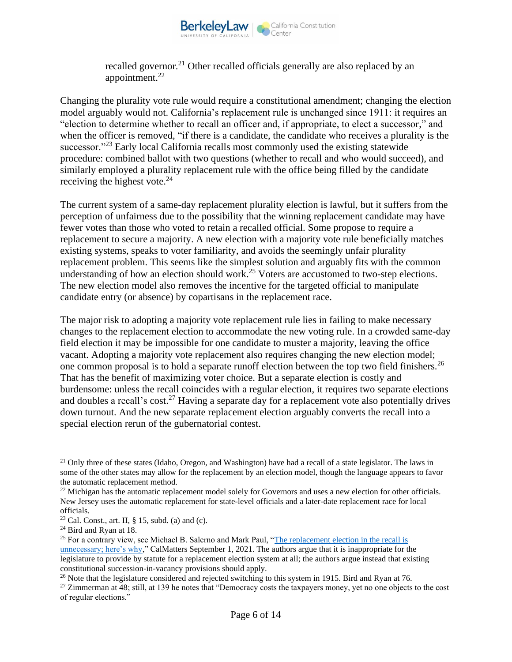

recalled governor.<sup>21</sup> Other recalled officials generally are also replaced by an appointment. $^{22}$ 

Changing the plurality vote rule would require a constitutional amendment; changing the election model arguably would not. California's replacement rule is unchanged since 1911: it requires an "election to determine whether to recall an officer and, if appropriate, to elect a successor," and when the officer is removed, "if there is a candidate, the candidate who receives a plurality is the successor."<sup>23</sup> Early local California recalls most commonly used the existing statewide procedure: combined ballot with two questions (whether to recall and who would succeed), and similarly employed a plurality replacement rule with the office being filled by the candidate receiving the highest vote.<sup>24</sup>

The current system of a same-day replacement plurality election is lawful, but it suffers from the perception of unfairness due to the possibility that the winning replacement candidate may have fewer votes than those who voted to retain a recalled official. Some propose to require a replacement to secure a majority. A new election with a majority vote rule beneficially matches existing systems, speaks to voter familiarity, and avoids the seemingly unfair plurality replacement problem. This seems like the simplest solution and arguably fits with the common understanding of how an election should work.<sup>25</sup> Voters are accustomed to two-step elections. The new election model also removes the incentive for the targeted official to manipulate candidate entry (or absence) by copartisans in the replacement race.

The major risk to adopting a majority vote replacement rule lies in failing to make necessary changes to the replacement election to accommodate the new voting rule. In a crowded same-day field election it may be impossible for one candidate to muster a majority, leaving the office vacant. Adopting a majority vote replacement also requires changing the new election model; one common proposal is to hold a separate runoff election between the top two field finishers.<sup>26</sup> That has the benefit of maximizing voter choice. But a separate election is costly and burdensome: unless the recall coincides with a regular election, it requires two separate elections and doubles a recall's cost.<sup>27</sup> Having a separate day for a replacement vote also potentially drives down turnout. And the new separate replacement election arguably converts the recall into a special election rerun of the gubernatorial contest.

<sup>&</sup>lt;sup>21</sup> Only three of these states (Idaho, Oregon, and Washington) have had a recall of a state legislator. The laws in some of the other states may allow for the replacement by an election model, though the language appears to favor the automatic replacement method.

<sup>&</sup>lt;sup>22</sup> Michigan has the automatic replacement model solely for Governors and uses a new election for other officials. New Jersey uses the automatic replacement for state-level officials and a later-date replacement race for local officials.

<sup>&</sup>lt;sup>23</sup> Cal. Const., art. II,  $\S$  15, subd. (a) and (c).

<sup>24</sup> Bird and Ryan at 18.

<sup>&</sup>lt;sup>25</sup> For a contrary view, see Michael B. Salerno and Mark Paul, "The replacement election in the recall is [unnecessary; here's why,"](https://calmatters.org/commentary/2021/09/the-replacement-election-in-the-recall-is-unnecessary-heres-why/) CalMatters September 1, 2021. The authors argue that it is inappropriate for the legislature to provide by statute for a replacement election system at all; the authors argue instead that existing constitutional succession-in-vacancy provisions should apply.

<sup>&</sup>lt;sup>26</sup> Note that the legislature considered and rejected switching to this system in 1915. Bird and Ryan at 76.

 $27$  Zimmerman at 48; still, at 139 he notes that "Democracy costs the taxpayers money, yet no one objects to the cost of regular elections."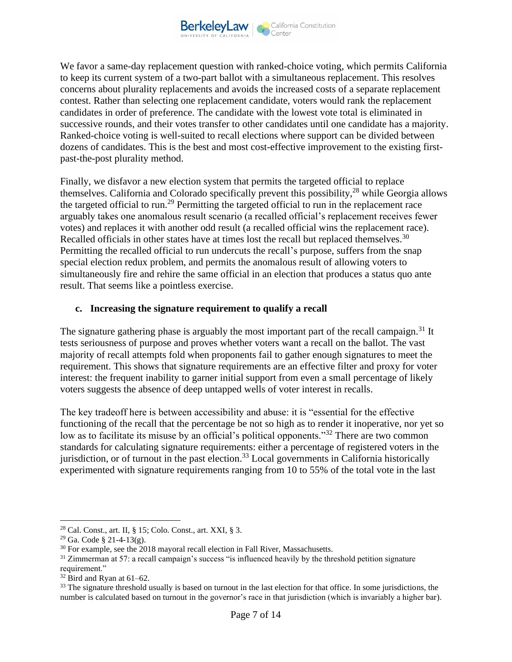We favor a same-day replacement question with ranked-choice voting, which permits California to keep its current system of a two-part ballot with a simultaneous replacement. This resolves concerns about plurality replacements and avoids the increased costs of a separate replacement contest. Rather than selecting one replacement candidate, voters would rank the replacement candidates in order of preference. The candidate with the lowest vote total is eliminated in successive rounds, and their votes transfer to other candidates until one candidate has a majority. Ranked-choice voting is well-suited to recall elections where support can be divided between dozens of candidates. This is the best and most cost-effective improvement to the existing firstpast-the-post plurality method.

Finally, we disfavor a new election system that permits the targeted official to replace themselves. California and Colorado specifically prevent this possibility,  $28$  while Georgia allows the targeted official to run.<sup>29</sup> Permitting the targeted official to run in the replacement race arguably takes one anomalous result scenario (a recalled official's replacement receives fewer votes) and replaces it with another odd result (a recalled official wins the replacement race). Recalled officials in other states have at times lost the recall but replaced themselves.<sup>30</sup> Permitting the recalled official to run undercuts the recall's purpose, suffers from the snap special election redux problem, and permits the anomalous result of allowing voters to simultaneously fire and rehire the same official in an election that produces a status quo ante result. That seems like a pointless exercise.

## **c. Increasing the signature requirement to qualify a recall**

The signature gathering phase is arguably the most important part of the recall campaign.<sup>31</sup> It tests seriousness of purpose and proves whether voters want a recall on the ballot. The vast majority of recall attempts fold when proponents fail to gather enough signatures to meet the requirement. This shows that signature requirements are an effective filter and proxy for voter interest: the frequent inability to garner initial support from even a small percentage of likely voters suggests the absence of deep untapped wells of voter interest in recalls.

The key tradeoff here is between accessibility and abuse: it is "essential for the effective functioning of the recall that the percentage be not so high as to render it inoperative, nor yet so low as to facilitate its misuse by an official's political opponents."<sup>32</sup> There are two common standards for calculating signature requirements: either a percentage of registered voters in the jurisdiction, or of turnout in the past election.<sup>33</sup> Local governments in California historically experimented with signature requirements ranging from 10 to 55% of the total vote in the last

<sup>28</sup> Cal. Const., art. II, § 15; Colo. Const., art. XXI, § 3.

 $29$  Ga. Code § 21-4-13(g).

 $30$  For example, see the 2018 mayoral recall election in Fall River, Massachusetts.

 $31$  Zimmerman at 57: a recall campaign's success "is influenced heavily by the threshold petition signature requirement."

 $32$  Bird and Ryan at 61–62.

<sup>&</sup>lt;sup>33</sup> The signature threshold usually is based on turnout in the last election for that office. In some jurisdictions, the number is calculated based on turnout in the governor's race in that jurisdiction (which is invariably a higher bar).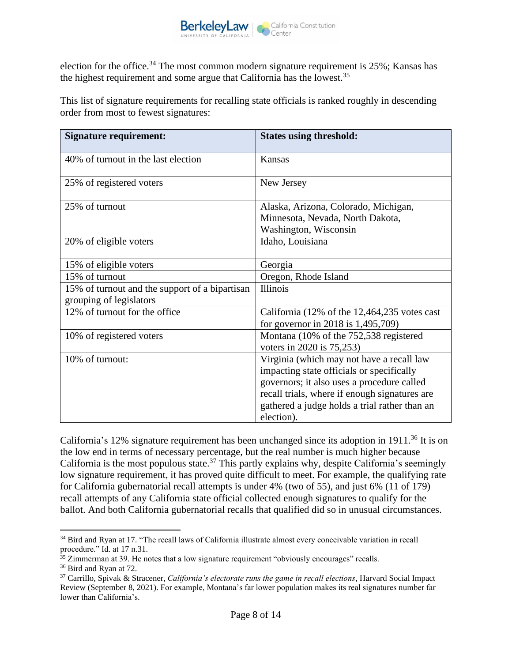

election for the office.<sup>34</sup> The most common modern signature requirement is  $25\%$ ; Kansas has the highest requirement and some argue that California has the lowest.<sup>35</sup>

This list of signature requirements for recalling state officials is ranked roughly in descending order from most to fewest signatures:

| <b>Signature requirement:</b>                                             | <b>States using threshold:</b>                                                                                                                                                                                                                       |
|---------------------------------------------------------------------------|------------------------------------------------------------------------------------------------------------------------------------------------------------------------------------------------------------------------------------------------------|
| 40% of turnout in the last election                                       | Kansas                                                                                                                                                                                                                                               |
| 25% of registered voters                                                  | New Jersey                                                                                                                                                                                                                                           |
| 25% of turnout                                                            | Alaska, Arizona, Colorado, Michigan,<br>Minnesota, Nevada, North Dakota,<br>Washington, Wisconsin                                                                                                                                                    |
| 20% of eligible voters                                                    | Idaho, Louisiana                                                                                                                                                                                                                                     |
| 15% of eligible voters                                                    | Georgia                                                                                                                                                                                                                                              |
| 15% of turnout                                                            | Oregon, Rhode Island                                                                                                                                                                                                                                 |
| 15% of turnout and the support of a bipartisan<br>grouping of legislators | <b>Illinois</b>                                                                                                                                                                                                                                      |
| 12% of turnout for the office                                             | California $(12\% \text{ of the } 12,464,235 \text{ votes cast})$<br>for governor in 2018 is 1,495,709)                                                                                                                                              |
| 10% of registered voters                                                  | Montana (10% of the 752,538 registered<br>voters in 2020 is 75,253)                                                                                                                                                                                  |
| 10% of turnout:                                                           | Virginia (which may not have a recall law<br>impacting state officials or specifically<br>governors; it also uses a procedure called<br>recall trials, where if enough signatures are<br>gathered a judge holds a trial rather than an<br>election). |

California's 12% signature requirement has been unchanged since its adoption in 1911.<sup>36</sup> It is on the low end in terms of necessary percentage, but the real number is much higher because California is the most populous state.<sup>37</sup> This partly explains why, despite California's seemingly low signature requirement, it has proved quite difficult to meet. For example, the qualifying rate for California gubernatorial recall attempts is under 4% (two of 55), and just 6% (11 of 179) recall attempts of any California state official collected enough signatures to qualify for the ballot. And both California gubernatorial recalls that qualified did so in unusual circumstances.

<sup>&</sup>lt;sup>34</sup> Bird and Ryan at 17. "The recall laws of California illustrate almost every conceivable variation in recall procedure." Id. at 17 n.31.

 $35$  Zimmerman at 39. He notes that a low signature requirement "obviously encourages" recalls.

<sup>&</sup>lt;sup>36</sup> Bird and Ryan at 72.

<sup>37</sup> Carrillo, Spivak & Stracener, *California's electorate runs the game in recall elections*, Harvard Social Impact Review (September 8, 2021). For example, Montana's far lower population makes its real signatures number far lower than California's.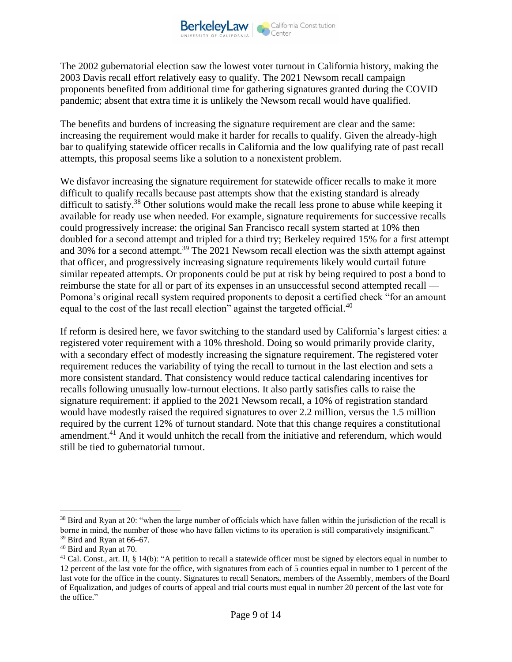The 2002 gubernatorial election saw the lowest voter turnout in California history, making the 2003 Davis recall effort relatively easy to qualify. The 2021 Newsom recall campaign proponents benefited from additional time for gathering signatures granted during the COVID pandemic; absent that extra time it is unlikely the Newsom recall would have qualified.

The benefits and burdens of increasing the signature requirement are clear and the same: increasing the requirement would make it harder for recalls to qualify. Given the already-high bar to qualifying statewide officer recalls in California and the low qualifying rate of past recall attempts, this proposal seems like a solution to a nonexistent problem.

We disfavor increasing the signature requirement for statewide officer recalls to make it more difficult to qualify recalls because past attempts show that the existing standard is already difficult to satisfy.<sup>38</sup> Other solutions would make the recall less prone to abuse while keeping it available for ready use when needed. For example, signature requirements for successive recalls could progressively increase: the original San Francisco recall system started at 10% then doubled for a second attempt and tripled for a third try; Berkeley required 15% for a first attempt and 30% for a second attempt.<sup>39</sup> The 2021 Newsom recall election was the sixth attempt against that officer, and progressively increasing signature requirements likely would curtail future similar repeated attempts. Or proponents could be put at risk by being required to post a bond to reimburse the state for all or part of its expenses in an unsuccessful second attempted recall — Pomona's original recall system required proponents to deposit a certified check "for an amount equal to the cost of the last recall election" against the targeted official.<sup>40</sup>

If reform is desired here, we favor switching to the standard used by California's largest cities: a registered voter requirement with a 10% threshold. Doing so would primarily provide clarity, with a secondary effect of modestly increasing the signature requirement. The registered voter requirement reduces the variability of tying the recall to turnout in the last election and sets a more consistent standard. That consistency would reduce tactical calendaring incentives for recalls following unusually low-turnout elections. It also partly satisfies calls to raise the signature requirement: if applied to the 2021 Newsom recall, a 10% of registration standard would have modestly raised the required signatures to over 2.2 million, versus the 1.5 million required by the current 12% of turnout standard. Note that this change requires a constitutional amendment.<sup>41</sup> And it would unhitch the recall from the initiative and referendum, which would still be tied to gubernatorial turnout.

<sup>&</sup>lt;sup>38</sup> Bird and Ryan at 20: "when the large number of officials which have fallen within the jurisdiction of the recall is borne in mind, the number of those who have fallen victims to its operation is still comparatively insignificant."  $39$  Bird and Ryan at 66–67.

<sup>40</sup> Bird and Ryan at 70.

<sup>&</sup>lt;sup>41</sup> Cal. Const., art. II, § 14(b): "A petition to recall a statewide officer must be signed by electors equal in number to 12 percent of the last vote for the office, with signatures from each of 5 counties equal in number to 1 percent of the last vote for the office in the county. Signatures to recall Senators, members of the Assembly, members of the Board of Equalization, and judges of courts of appeal and trial courts must equal in number 20 percent of the last vote for the office."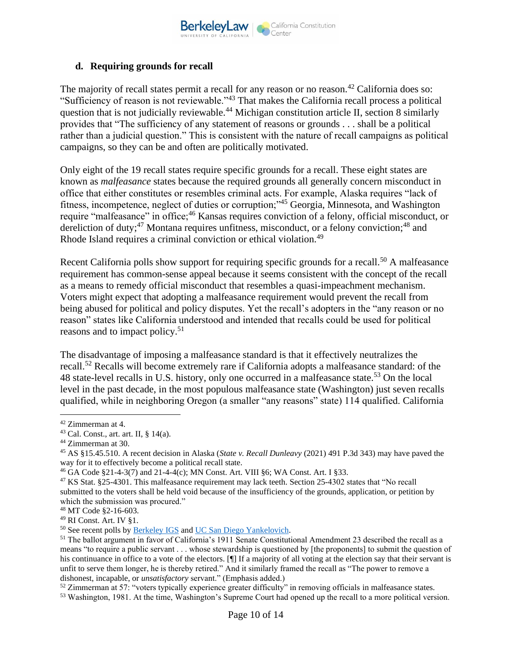

## **d. Requiring grounds for recall**

The majority of recall states permit a recall for any reason or no reason.<sup>42</sup> California does so: "Sufficiency of reason is not reviewable."<sup>43</sup> That makes the California recall process a political question that is not judicially reviewable.<sup>44</sup> Michigan constitution article II, section 8 similarly provides that "The sufficiency of any statement of reasons or grounds . . . shall be a political rather than a judicial question." This is consistent with the nature of recall campaigns as political campaigns, so they can be and often are politically motivated.

Only eight of the 19 recall states require specific grounds for a recall. These eight states are known as *malfeasance* states because the required grounds all generally concern misconduct in office that either constitutes or resembles criminal acts. For example, Alaska requires "lack of fitness, incompetence, neglect of duties or corruption;"<sup>45</sup> Georgia, Minnesota, and Washington require "malfeasance" in office;<sup>46</sup> Kansas requires conviction of a felony, official misconduct, or dereliction of duty;<sup>47</sup> Montana requires unfitness, misconduct, or a felony conviction;<sup>48</sup> and Rhode Island requires a criminal conviction or ethical violation.<sup>49</sup>

Recent California polls show support for requiring specific grounds for a recall.<sup>50</sup> A malfeasance requirement has common-sense appeal because it seems consistent with the concept of the recall as a means to remedy official misconduct that resembles a quasi-impeachment mechanism. Voters might expect that adopting a malfeasance requirement would prevent the recall from being abused for political and policy disputes. Yet the recall's adopters in the "any reason or no reason" states like California understood and intended that recalls could be used for political reasons and to impact policy.<sup>51</sup>

The disadvantage of imposing a malfeasance standard is that it effectively neutralizes the recall.<sup>52</sup> Recalls will become extremely rare if California adopts a malfeasance standard: of the 48 state-level recalls in U.S. history, only one occurred in a malfeasance state.<sup>53</sup> On the local level in the past decade, in the most populous malfeasance state (Washington) just seven recalls qualified, while in neighboring Oregon (a smaller "any reasons" state) 114 qualified. California

<sup>52</sup> Zimmerman at 57: "voters typically experience greater difficulty" in removing officials in malfeasance states.

<sup>42</sup> Zimmerman at 4.

<sup>43</sup> Cal. Const., art. art. II, § 14(a).

<sup>44</sup> Zimmerman at 30.

<sup>45</sup> AS §15.45.510. A recent decision in Alaska (*State v. Recall Dunleavy* (2021) 491 P.3d 343) may have paved the way for it to effectively become a political recall state.

<sup>46</sup> GA Code §21-4-3(7) and 21-4-4(c); MN Const. Art. VIII §6; WA Const. Art. I §33.

<sup>47</sup> KS Stat. §25-4301. This malfeasance requirement may lack teeth. Section 25-4302 states that "No recall submitted to the voters shall be held void because of the insufficiency of the grounds, application, or petition by which the submission was procured."

<sup>48</sup> MT Code §2-16-603.

<sup>49</sup> RI Const. Art. IV §1.

<sup>&</sup>lt;sup>50</sup> See recent polls by **Berkeley IGS** and <u>UC San Diego Yankelovich</u>.

<sup>&</sup>lt;sup>51</sup> The ballot argument in favor of California's 1911 Senate Constitutional Amendment 23 described the recall as a means "to require a public servant . . . whose stewardship is questioned by [the proponents] to submit the question of his continuance in office to a vote of the electors. [¶] If a majority of all voting at the election say that their servant is unfit to serve them longer, he is thereby retired." And it similarly framed the recall as "The power to remove a dishonest, incapable, or *unsatisfactory* servant." (Emphasis added.)

<sup>&</sup>lt;sup>53</sup> Washington, 1981. At the time, Washington's Supreme Court had opened up the recall to a more political version.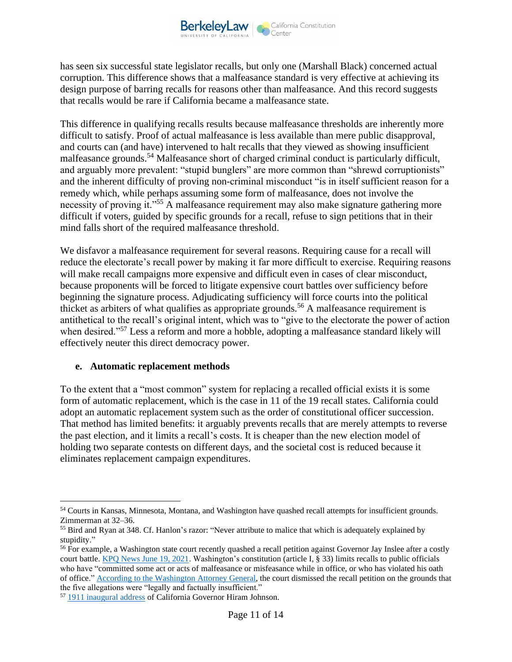has seen six successful state legislator recalls, but only one (Marshall Black) concerned actual corruption. This difference shows that a malfeasance standard is very effective at achieving its design purpose of barring recalls for reasons other than malfeasance. And this record suggests that recalls would be rare if California became a malfeasance state.

This difference in qualifying recalls results because malfeasance thresholds are inherently more difficult to satisfy. Proof of actual malfeasance is less available than mere public disapproval, and courts can (and have) intervened to halt recalls that they viewed as showing insufficient malfeasance grounds.<sup>54</sup> Malfeasance short of charged criminal conduct is particularly difficult, and arguably more prevalent: "stupid bunglers" are more common than "shrewd corruptionists" and the inherent difficulty of proving non-criminal misconduct "is in itself sufficient reason for a remedy which, while perhaps assuming some form of malfeasance, does not involve the necessity of proving it."<sup>55</sup> A malfeasance requirement may also make signature gathering more difficult if voters, guided by specific grounds for a recall, refuse to sign petitions that in their mind falls short of the required malfeasance threshold.

We disfavor a malfeasance requirement for several reasons. Requiring cause for a recall will reduce the electorate's recall power by making it far more difficult to exercise. Requiring reasons will make recall campaigns more expensive and difficult even in cases of clear misconduct, because proponents will be forced to litigate expensive court battles over sufficiency before beginning the signature process. Adjudicating sufficiency will force courts into the political thicket as arbiters of what qualifies as appropriate grounds.<sup>56</sup> A malfeasance requirement is antithetical to the recall's original intent, which was to "give to the electorate the power of action when desired."<sup>57</sup> Less a reform and more a hobble, adopting a malfeasance standard likely will effectively neuter this direct democracy power.

#### **e. Automatic replacement methods**

To the extent that a "most common" system for replacing a recalled official exists it is some form of automatic replacement, which is the case in 11 of the 19 recall states. California could adopt an automatic replacement system such as the order of constitutional officer succession. That method has limited benefits: it arguably prevents recalls that are merely attempts to reverse the past election, and it limits a recall's costs. It is cheaper than the new election model of holding two separate contests on different days, and the societal cost is reduced because it eliminates replacement campaign expenditures.

<sup>54</sup> Courts in Kansas, Minnesota, Montana, and Washington have quashed recall attempts for insufficient grounds. Zimmerman at 32–36.

<sup>55</sup> Bird and Ryan at 348. Cf. Hanlon's razor: "Never attribute to malice that which is adequately explained by stupidity."

<sup>&</sup>lt;sup>56</sup> For example, a Washington state court recently quashed a recall petition against Governor Jay Inslee after a costly court battle. [KPQ News June 19, 2021.](https://www.kpq.com/inslee-warns-of-relitigating-elections-after-recall-dismissal/) Washington's constitution (article I, § 33) limits recalls to public officials who have "committed some act or acts of malfeasance or misfeasance while in office, or who has violated his oath of office.[" According to the Washington Attorney General,](https://apnews.com/article/washington-coronavirus-pandemic-business-government-and-politics-health-baaac44648aeb9b3dcb850b20eb447a9) the court dismissed the recall petition on the grounds that the five allegations were "legally and factually insufficient."

<sup>57</sup> [1911 inaugural address](https://governors.library.ca.gov/addresses/23-hjohnson01.html) of California Governor Hiram Johnson.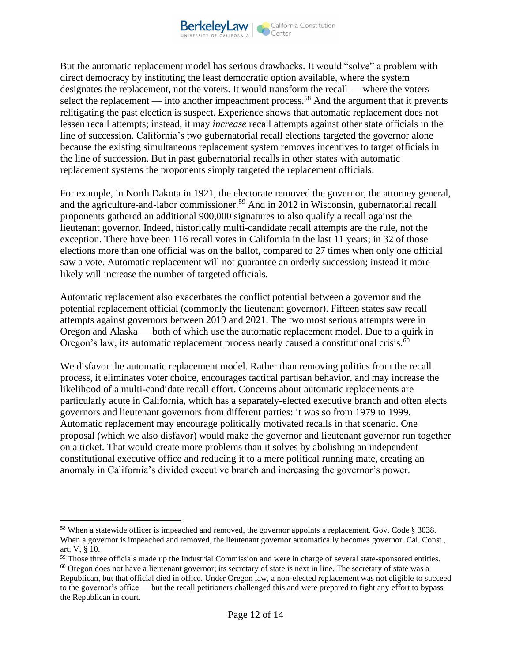

But the automatic replacement model has serious drawbacks. It would "solve" a problem with direct democracy by instituting the least democratic option available, where the system designates the replacement, not the voters. It would transform the recall — where the voters select the replacement — into another impeachment process.<sup>58</sup> And the argument that it prevents relitigating the past election is suspect. Experience shows that automatic replacement does not lessen recall attempts; instead, it may *increase* recall attempts against other state officials in the line of succession. California's two gubernatorial recall elections targeted the governor alone because the existing simultaneous replacement system removes incentives to target officials in the line of succession. But in past gubernatorial recalls in other states with automatic replacement systems the proponents simply targeted the replacement officials.

For example, in North Dakota in 1921, the electorate removed the governor, the attorney general, and the agriculture-and-labor commissioner. <sup>59</sup> And in 2012 in Wisconsin, gubernatorial recall proponents gathered an additional 900,000 signatures to also qualify a recall against the lieutenant governor. Indeed, historically multi-candidate recall attempts are the rule, not the exception. There have been 116 recall votes in California in the last 11 years; in 32 of those elections more than one official was on the ballot, compared to 27 times when only one official saw a vote. Automatic replacement will not guarantee an orderly succession; instead it more likely will increase the number of targeted officials.

Automatic replacement also exacerbates the conflict potential between a governor and the potential replacement official (commonly the lieutenant governor). Fifteen states saw recall attempts against governors between 2019 and 2021. The two most serious attempts were in Oregon and Alaska — both of which use the automatic replacement model. Due to a quirk in Oregon's law, its automatic replacement process nearly caused a constitutional crisis.<sup>60</sup>

We disfavor the automatic replacement model. Rather than removing politics from the recall process, it eliminates voter choice, encourages tactical partisan behavior, and may increase the likelihood of a multi-candidate recall effort. Concerns about automatic replacements are particularly acute in California, which has a separately-elected executive branch and often elects governors and lieutenant governors from different parties: it was so from 1979 to 1999. Automatic replacement may encourage politically motivated recalls in that scenario. One proposal (which we also disfavor) would make the governor and lieutenant governor run together on a ticket. That would create more problems than it solves by abolishing an independent constitutional executive office and reducing it to a mere political running mate, creating an anomaly in California's divided executive branch and increasing the governor's power.

<sup>58</sup> When a statewide officer is impeached and removed, the governor appoints a replacement. Gov. Code § 3038. When a governor is impeached and removed, the lieutenant governor automatically becomes governor. Cal. Const., art. V, § 10.

<sup>&</sup>lt;sup>59</sup> Those three officials made up the Industrial Commission and were in charge of several state-sponsored entities.  $60$  Oregon does not have a lieutenant governor; its secretary of state is next in line. The secretary of state was a Republican, but that official died in office. Under Oregon law, a non-elected replacement was not eligible to succeed to the governor's office — but the recall petitioners challenged this and were prepared to fight any effort to bypass the Republican in court.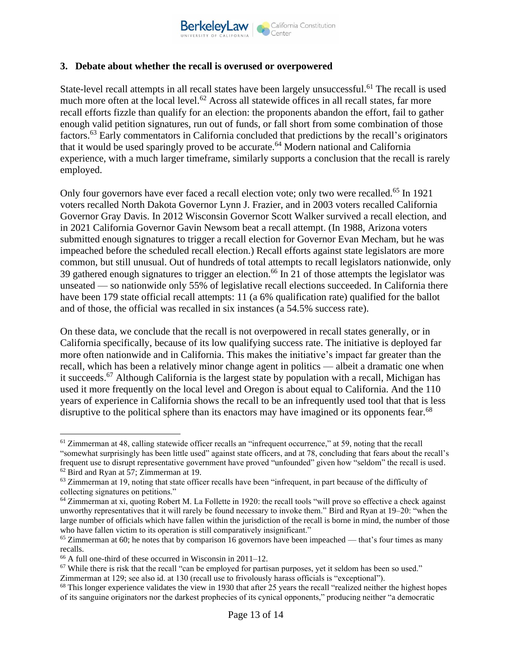

#### **3. Debate about whether the recall is overused or overpowered**

State-level recall attempts in all recall states have been largely unsuccessful.<sup>61</sup> The recall is used much more often at the local level.<sup>62</sup> Across all statewide offices in all recall states, far more recall efforts fizzle than qualify for an election: the proponents abandon the effort, fail to gather enough valid petition signatures, run out of funds, or fall short from some combination of those factors.<sup>63</sup> Early commentators in California concluded that predictions by the recall's originators that it would be used sparingly proved to be accurate.<sup>64</sup> Modern national and California experience, with a much larger timeframe, similarly supports a conclusion that the recall is rarely employed.

Only four governors have ever faced a recall election vote; only two were recalled.<sup>65</sup> In 1921 voters recalled North Dakota Governor Lynn J. Frazier, and in 2003 voters recalled California Governor Gray Davis. In 2012 Wisconsin Governor Scott Walker survived a recall election, and in 2021 California Governor Gavin Newsom beat a recall attempt. (In 1988, Arizona voters submitted enough signatures to trigger a recall election for Governor Evan Mecham, but he was impeached before the scheduled recall election.) Recall efforts against state legislators are more common, but still unusual. Out of hundreds of total attempts to recall legislators nationwide, only 39 gathered enough signatures to trigger an election.<sup>66</sup> In 21 of those attempts the legislator was unseated — so nationwide only 55% of legislative recall elections succeeded. In California there have been 179 state official recall attempts: 11 (a 6% qualification rate) qualified for the ballot and of those, the official was recalled in six instances (a 54.5% success rate).

On these data, we conclude that the recall is not overpowered in recall states generally, or in California specifically, because of its low qualifying success rate. The initiative is deployed far more often nationwide and in California. This makes the initiative's impact far greater than the recall, which has been a relatively minor change agent in politics — albeit a dramatic one when it succeeds.<sup>67</sup> Although California is the largest state by population with a recall, Michigan has used it more frequently on the local level and Oregon is about equal to California. And the 110 years of experience in California shows the recall to be an infrequently used tool that that is less disruptive to the political sphere than its enactors may have imagined or its opponents fear.<sup>68</sup>

 $61$  Zimmerman at 48, calling statewide officer recalls an "infrequent occurrence," at 59, noting that the recall "somewhat surprisingly has been little used" against state officers, and at 78, concluding that fears about the recall's frequent use to disrupt representative government have proved "unfounded" given how "seldom" the recall is used. <sup>62</sup> Bird and Ryan at 57; Zimmerman at 19.

 $63$  Zimmerman at 19, noting that state officer recalls have been "infrequent, in part because of the difficulty of collecting signatures on petitions."

<sup>64</sup> Zimmerman at xi, quoting Robert M. La Follette in 1920: the recall tools "will prove so effective a check against unworthy representatives that it will rarely be found necessary to invoke them." Bird and Ryan at 19–20: "when the large number of officials which have fallen within the jurisdiction of the recall is borne in mind, the number of those who have fallen victim to its operation is still comparatively insignificant."

 $65$  Zimmerman at 60; he notes that by comparison 16 governors have been impeached — that's four times as many recalls.

<sup>66</sup> A full one-third of these occurred in Wisconsin in 2011–12.

 $67$  While there is risk that the recall "can be employed for partisan purposes, yet it seldom has been so used." Zimmerman at 129; see also id. at 130 (recall use to frivolously harass officials is "exceptional").

 $68$  This longer experience validates the view in 1930 that after 25 years the recall "realized neither the highest hopes of its sanguine originators nor the darkest prophecies of its cynical opponents," producing neither "a democratic